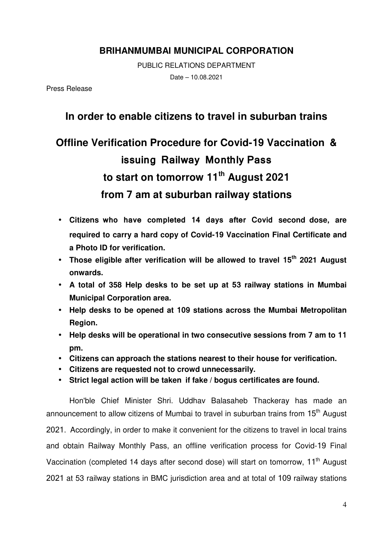## **BRIHANMUMBAI MUNICIPAL CORPORATION**

PUBLIC RELATIONS DEPARTMENT Date – 10.08.2021

Press Release

## **In order to enable citizens to travel in suburban trains**

## **Offline Verification Procedure for Covid-19 Vaccination & issuing Railway Monthly Pass to start on tomorrow 11th August 2021 from 7 am at suburban railway stations**

- **Citizens who have completed 14 days after Covid second dose, are required to carry a hard copy of Covid-19 Vaccination Final Certificate and a Photo ID for verification.**
- **Those eligible after verification will be allowed to travel 15th 2021 August onwards.**
- **A total of 358 Help desks to be set up at 53 railway stations in Mumbai Municipal Corporation area.**
- **Help desks to be opened at 109 stations across the Mumbai Metropolitan Region.**
- **Help desks will be operational in two consecutive sessions from 7 am to 11 pm.**
- **Citizens can approach the stations nearest to their house for verification.**
- **Citizens are requested not to crowd unnecessarily.**
- **Strict legal action will be taken if fake / bogus certificates are found.**

Hon'ble Chief Minister Shri. Uddhav Balasaheb Thackeray has made an announcement to allow citizens of Mumbai to travel in suburban trains from 15<sup>th</sup> August 2021. Accordingly, in order to make it convenient for the citizens to travel in local trains and obtain Railway Monthly Pass, an offline verification process for Covid-19 Final Vaccination (completed 14 days after second dose) will start on tomorrow, 11<sup>th</sup> August 2021 at 53 railway stations in BMC jurisdiction area and at total of 109 railway stations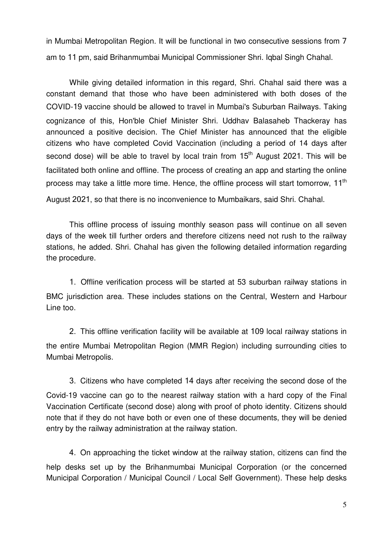in Mumbai Metropolitan Region. It will be functional in two consecutive sessions from 7 am to 11 pm, said Brihanmumbai Municipal Commissioner Shri. Iqbal Singh Chahal.

 While giving detailed information in this regard, Shri. Chahal said there was a constant demand that those who have been administered with both doses of the COVID-19 vaccine should be allowed to travel in Mumbai's Suburban Railways. Taking cognizance of this, Hon'ble Chief Minister Shri. Uddhav Balasaheb Thackeray has announced a positive decision. The Chief Minister has announced that the eligible citizens who have completed Covid Vaccination (including a period of 14 days after second dose) will be able to travel by local train from  $15<sup>th</sup>$  August 2021. This will be facilitated both online and offline. The process of creating an app and starting the online process may take a little more time. Hence, the offline process will start tomorrow, 11<sup>th</sup> August 2021, so that there is no inconvenience to Mumbaikars, said Shri. Chahal.

 This offline process of issuing monthly season pass will continue on all seven days of the week till further orders and therefore citizens need not rush to the railway stations, he added. Shri. Chahal has given the following detailed information regarding the procedure.

1. Offline verification process will be started at 53 suburban railway stations in BMC jurisdiction area. These includes stations on the Central, Western and Harbour Line too.

2. This offline verification facility will be available at 109 local railway stations in the entire Mumbai Metropolitan Region (MMR Region) including surrounding cities to Mumbai Metropolis.

3. Citizens who have completed 14 days after receiving the second dose of the Covid-19 vaccine can go to the nearest railway station with a hard copy of the Final Vaccination Certificate (second dose) along with proof of photo identity. Citizens should note that if they do not have both or even one of these documents, they will be denied entry by the railway administration at the railway station.

4. On approaching the ticket window at the railway station, citizens can find the help desks set up by the Brihanmumbai Municipal Corporation (or the concerned Municipal Corporation / Municipal Council / Local Self Government). These help desks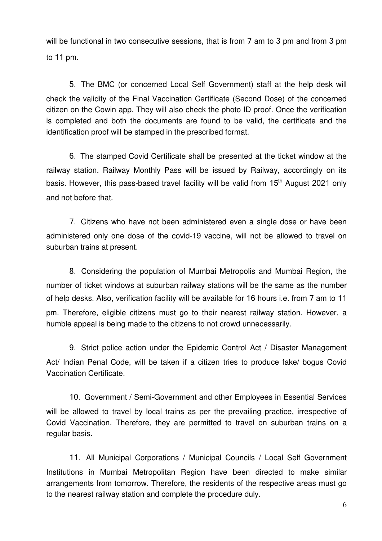will be functional in two consecutive sessions, that is from 7 am to 3 pm and from 3 pm to 11 pm.

5. The BMC (or concerned Local Self Government) staff at the help desk will check the validity of the Final Vaccination Certificate (Second Dose) of the concerned citizen on the Cowin app. They will also check the photo ID proof. Once the verification is completed and both the documents are found to be valid, the certificate and the identification proof will be stamped in the prescribed format.

6. The stamped Covid Certificate shall be presented at the ticket window at the railway station. Railway Monthly Pass will be issued by Railway, accordingly on its basis. However, this pass-based travel facility will be valid from 15<sup>th</sup> August 2021 only and not before that.

7. Citizens who have not been administered even a single dose or have been administered only one dose of the covid-19 vaccine, will not be allowed to travel on suburban trains at present.

8. Considering the population of Mumbai Metropolis and Mumbai Region, the number of ticket windows at suburban railway stations will be the same as the number of help desks. Also, verification facility will be available for 16 hours i.e. from 7 am to 11 pm. Therefore, eligible citizens must go to their nearest railway station. However, a humble appeal is being made to the citizens to not crowd unnecessarily.

9. Strict police action under the Epidemic Control Act / Disaster Management Act/ Indian Penal Code, will be taken if a citizen tries to produce fake/ bogus Covid Vaccination Certificate.

10. Government / Semi-Government and other Employees in Essential Services will be allowed to travel by local trains as per the prevailing practice, irrespective of Covid Vaccination. Therefore, they are permitted to travel on suburban trains on a regular basis.

11. All Municipal Corporations / Municipal Councils / Local Self Government Institutions in Mumbai Metropolitan Region have been directed to make similar arrangements from tomorrow. Therefore, the residents of the respective areas must go to the nearest railway station and complete the procedure duly.